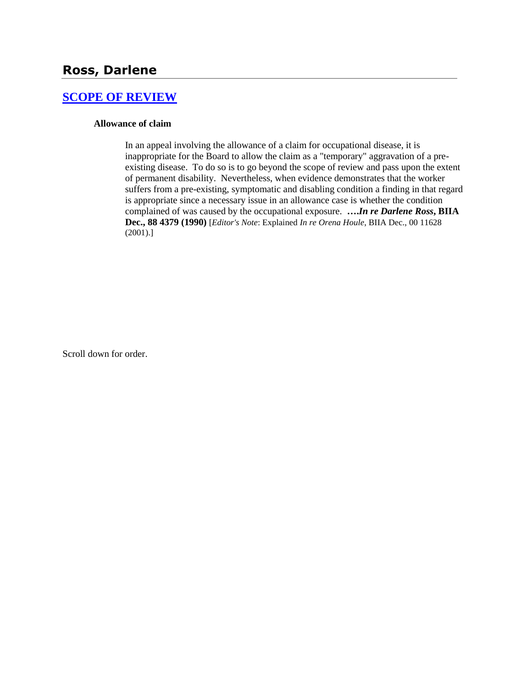# **[SCOPE OF REVIEW](http://www.biia.wa.gov/SDSubjectIndex.html#SCOPE_OF_REVIEW)**

#### **Allowance of claim**

In an appeal involving the allowance of a claim for occupational disease, it is inappropriate for the Board to allow the claim as a "temporary" aggravation of a preexisting disease. To do so is to go beyond the scope of review and pass upon the extent of permanent disability. Nevertheless, when evidence demonstrates that the worker suffers from a pre-existing, symptomatic and disabling condition a finding in that regard is appropriate since a necessary issue in an allowance case is whether the condition complained of was caused by the occupational exposure. **….***In re Darlene Ross***, BIIA Dec., 88 4379 (1990)** [*Editor's Note*: Explained *In re Orena Houle*, BIIA Dec., 00 11628 (2001).]

Scroll down for order.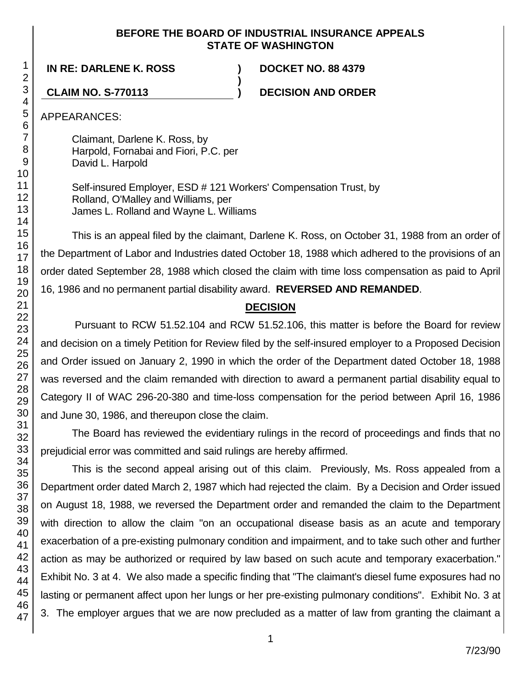## **BEFORE THE BOARD OF INDUSTRIAL INSURANCE APPEALS STATE OF WASHINGTON**

**IN RE: DARLENE K. ROSS ) DOCKET NO. 88 4379**

**CLAIM NO. S-770113 ) DECISION AND ORDER**

APPEARANCES:

Claimant, Darlene K. Ross, by Harpold, Fornabai and Fiori, P.C. per David L. Harpold

Self-insured Employer, ESD # 121 Workers' Compensation Trust, by Rolland, O'Malley and Williams, per James L. Rolland and Wayne L. Williams

**)**

This is an appeal filed by the claimant, Darlene K. Ross, on October 31, 1988 from an order of the Department of Labor and Industries dated October 18, 1988 which adhered to the provisions of an order dated September 28, 1988 which closed the claim with time loss compensation as paid to April 16, 1986 and no permanent partial disability award. **REVERSED AND REMANDED**.

# **DECISION**

Pursuant to RCW 51.52.104 and RCW 51.52.106, this matter is before the Board for review and decision on a timely Petition for Review filed by the self-insured employer to a Proposed Decision and Order issued on January 2, 1990 in which the order of the Department dated October 18, 1988 was reversed and the claim remanded with direction to award a permanent partial disability equal to Category II of WAC 296-20-380 and time-loss compensation for the period between April 16, 1986 and June 30, 1986, and thereupon close the claim.

The Board has reviewed the evidentiary rulings in the record of proceedings and finds that no prejudicial error was committed and said rulings are hereby affirmed.

This is the second appeal arising out of this claim. Previously, Ms. Ross appealed from a Department order dated March 2, 1987 which had rejected the claim. By a Decision and Order issued on August 18, 1988, we reversed the Department order and remanded the claim to the Department with direction to allow the claim "on an occupational disease basis as an acute and temporary exacerbation of a pre-existing pulmonary condition and impairment, and to take such other and further action as may be authorized or required by law based on such acute and temporary exacerbation." Exhibit No. 3 at 4. We also made a specific finding that "The claimant's diesel fume exposures had no lasting or permanent affect upon her lungs or her pre-existing pulmonary conditions". Exhibit No. 3 at 3. The employer argues that we are now precluded as a matter of law from granting the claimant a

1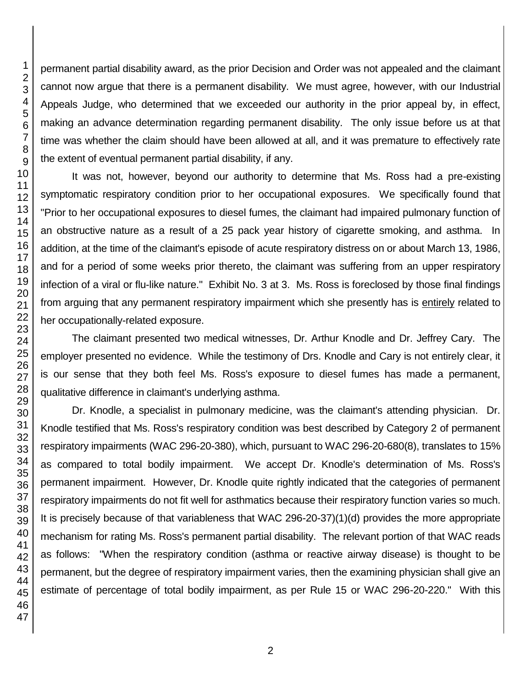permanent partial disability award, as the prior Decision and Order was not appealed and the claimant cannot now argue that there is a permanent disability. We must agree, however, with our Industrial Appeals Judge, who determined that we exceeded our authority in the prior appeal by, in effect, making an advance determination regarding permanent disability. The only issue before us at that time was whether the claim should have been allowed at all, and it was premature to effectively rate the extent of eventual permanent partial disability, if any.

It was not, however, beyond our authority to determine that Ms. Ross had a pre-existing symptomatic respiratory condition prior to her occupational exposures. We specifically found that "Prior to her occupational exposures to diesel fumes, the claimant had impaired pulmonary function of an obstructive nature as a result of a 25 pack year history of cigarette smoking, and asthma. In addition, at the time of the claimant's episode of acute respiratory distress on or about March 13, 1986, and for a period of some weeks prior thereto, the claimant was suffering from an upper respiratory infection of a viral or flu-like nature." Exhibit No. 3 at 3. Ms. Ross is foreclosed by those final findings from arguing that any permanent respiratory impairment which she presently has is entirely related to her occupationally-related exposure.

The claimant presented two medical witnesses, Dr. Arthur Knodle and Dr. Jeffrey Cary. The employer presented no evidence. While the testimony of Drs. Knodle and Cary is not entirely clear, it is our sense that they both feel Ms. Ross's exposure to diesel fumes has made a permanent, qualitative difference in claimant's underlying asthma.

Dr. Knodle, a specialist in pulmonary medicine, was the claimant's attending physician. Dr. Knodle testified that Ms. Ross's respiratory condition was best described by Category 2 of permanent respiratory impairments (WAC 296-20-380), which, pursuant to WAC 296-20-680(8), translates to 15% as compared to total bodily impairment. We accept Dr. Knodle's determination of Ms. Ross's permanent impairment. However, Dr. Knodle quite rightly indicated that the categories of permanent respiratory impairments do not fit well for asthmatics because their respiratory function varies so much. It is precisely because of that variableness that WAC 296-20-37)(1)(d) provides the more appropriate mechanism for rating Ms. Ross's permanent partial disability. The relevant portion of that WAC reads as follows: "When the respiratory condition (asthma or reactive airway disease) is thought to be permanent, but the degree of respiratory impairment varies, then the examining physician shall give an estimate of percentage of total bodily impairment, as per Rule 15 or WAC 296-20-220." With this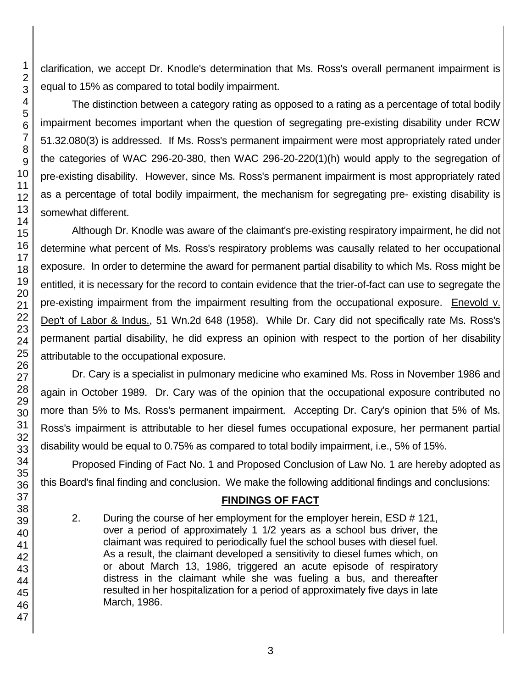clarification, we accept Dr. Knodle's determination that Ms. Ross's overall permanent impairment is equal to 15% as compared to total bodily impairment.

The distinction between a category rating as opposed to a rating as a percentage of total bodily impairment becomes important when the question of segregating pre-existing disability under RCW 51.32.080(3) is addressed. If Ms. Ross's permanent impairment were most appropriately rated under the categories of WAC 296-20-380, then WAC 296-20-220(1)(h) would apply to the segregation of pre-existing disability. However, since Ms. Ross's permanent impairment is most appropriately rated as a percentage of total bodily impairment, the mechanism for segregating pre- existing disability is somewhat different.

Although Dr. Knodle was aware of the claimant's pre-existing respiratory impairment, he did not determine what percent of Ms. Ross's respiratory problems was causally related to her occupational exposure. In order to determine the award for permanent partial disability to which Ms. Ross might be entitled, it is necessary for the record to contain evidence that the trier-of-fact can use to segregate the pre-existing impairment from the impairment resulting from the occupational exposure. Enevold v. Dep't of Labor & Indus., 51 Wn.2d 648 (1958). While Dr. Cary did not specifically rate Ms. Ross's permanent partial disability, he did express an opinion with respect to the portion of her disability attributable to the occupational exposure.

Dr. Cary is a specialist in pulmonary medicine who examined Ms. Ross in November 1986 and again in October 1989. Dr. Cary was of the opinion that the occupational exposure contributed no more than 5% to Ms. Ross's permanent impairment. Accepting Dr. Cary's opinion that 5% of Ms. Ross's impairment is attributable to her diesel fumes occupational exposure, her permanent partial disability would be equal to 0.75% as compared to total bodily impairment, i.e., 5% of 15%.

Proposed Finding of Fact No. 1 and Proposed Conclusion of Law No. 1 are hereby adopted as this Board's final finding and conclusion. We make the following additional findings and conclusions:

# **FINDINGS OF FACT**

2. During the course of her employment for the employer herein, ESD # 121, over a period of approximately 1 1/2 years as a school bus driver, the claimant was required to periodically fuel the school buses with diesel fuel. As a result, the claimant developed a sensitivity to diesel fumes which, on or about March 13, 1986, triggered an acute episode of respiratory distress in the claimant while she was fueling a bus, and thereafter resulted in her hospitalization for a period of approximately five days in late March, 1986.